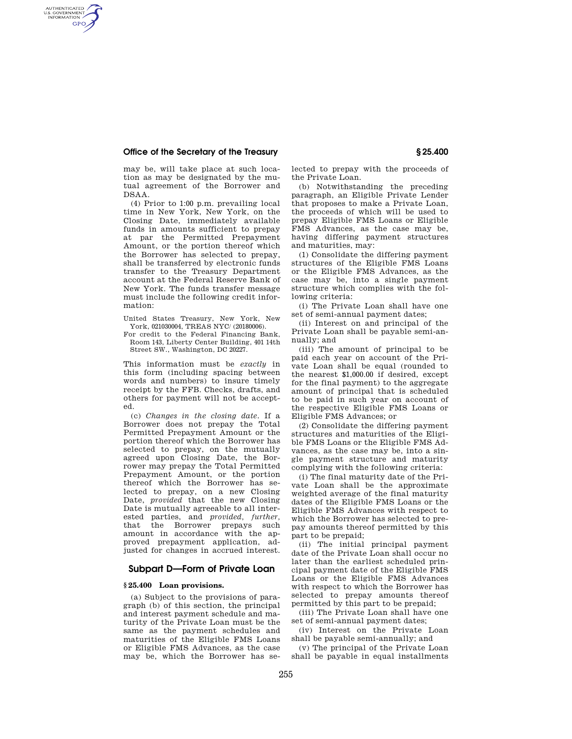## **Office of the Secretary of the Treasury § 25.400**

AUTHENTICATED<br>U.S. GOVERNMENT<br>INFORMATION **GPO** 

> may be, will take place at such location as may be designated by the mutual agreement of the Borrower and DSAA.

> (4) Prior to 1:00 p.m. prevailing local time in New York, New York, on the Closing Date, immediately available funds in amounts sufficient to prepay at par the Permitted Prepayment Amount, or the portion thereof which the Borrower has selected to prepay, shall be transferred by electronic funds transfer to the Treasury Department account at the Federal Reserve Bank of New York. The funds transfer message must include the following credit information:

United States Treasury, New York, New York, 021030004, TREAS NYC/ (20180006).

For credit to the Federal Financing Bank, Room 143, Liberty Center Building, 401 14th Street SW., Washington, DC 20227.

This information must be *exactly* in this form (including spacing between words and numbers) to insure timely receipt by the FFB. Checks, drafts, and others for payment will not be accepted.

(c) *Changes in the closing date.* If a Borrower does not prepay the Total Permitted Prepayment Amount or the portion thereof which the Borrower has selected to prepay, on the mutually agreed upon Closing Date, the Borrower may prepay the Total Permitted Prepayment Amount, or the portion thereof which the Borrower has selected to prepay, on a new Closing Date, *provided* that the new Closing Date is mutually agreeable to all interested parties, and *provided, further,*  that the Borrower prepays such amount in accordance with the approved prepayment application, adjusted for changes in accrued interest.

# **Subpart D—Form of Private Loan**

#### **§ 25.400 Loan provisions.**

(a) Subject to the provisions of paragraph (b) of this section, the principal and interest payment schedule and maturity of the Private Loan must be the same as the payment schedules and maturities of the Eligible FMS Loans or Eligible FMS Advances, as the case may be, which the Borrower has selected to prepay with the proceeds of the Private Loan.

(b) Notwithstanding the preceding paragraph, an Eligible Private Lender that proposes to make a Private Loan, the proceeds of which will be used to prepay Eligible FMS Loans or Eligible FMS Advances, as the case may be, having differing payment structures and maturities, may:

(1) Consolidate the differing payment structures of the Eligible FMS Loans or the Eligible FMS Advances, as the case may be, into a single payment structure which complies with the following criteria:

(i) The Private Loan shall have one set of semi-annual payment dates;

(ii) Interest on and principal of the Private Loan shall be payable semi-annually; and

(iii) The amount of principal to be paid each year on account of the Private Loan shall be equal (rounded to the nearest \$1,000.00 if desired, except for the final payment) to the aggregate amount of principal that is scheduled to be paid in such year on account of the respective Eligible FMS Loans or Eligible FMS Advances; or

(2) Consolidate the differing payment structures and maturities of the Eligible FMS Loans or the Eligible FMS Advances, as the case may be, into a single payment structure and maturity complying with the following criteria:

(i) The final maturity date of the Private Loan shall be the approximate weighted average of the final maturity dates of the Eligible FMS Loans or the Eligible FMS Advances with respect to which the Borrower has selected to prepay amounts thereof permitted by this part to be prepaid;

(ii) The initial principal payment date of the Private Loan shall occur no later than the earliest scheduled principal payment date of the Eligible FMS Loans or the Eligible FMS Advances with respect to which the Borrower has selected to prepay amounts thereof permitted by this part to be prepaid;

(iii) The Private Loan shall have one set of semi-annual payment dates;

(iv) Interest on the Private Loan shall be payable semi-annually; and

(v) The principal of the Private Loan shall be payable in equal installments